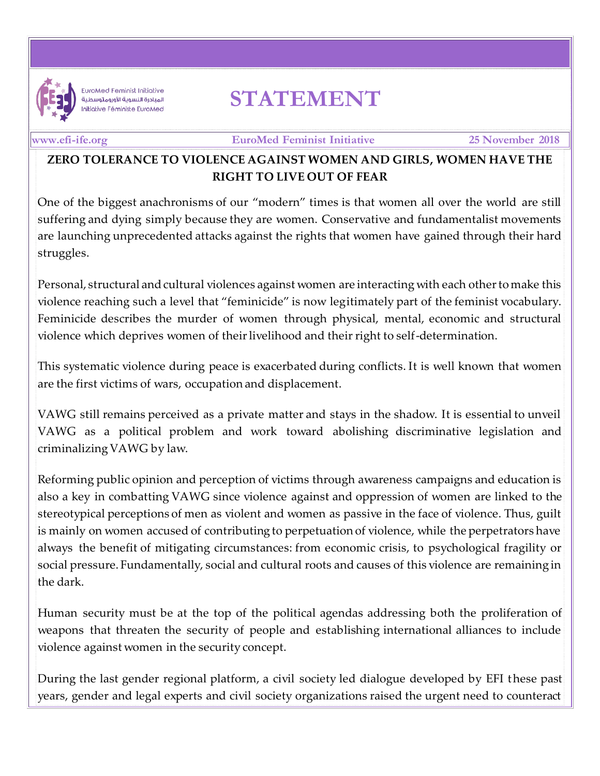

**EuroMed Feminist Initiative** المبادرة النسوية الأورومتوسطية Initiative Féministe EuroMed

## **STATEMENT**

## **[www.efi-ife.org](http://www.efi-ife.org/) EuroMed Feminist Initiative 25 November 2018**

## **ZERO TOLERANCE TO VIOLENCE AGAINST WOMEN AND GIRLS, WOMEN HAVE THE RIGHT TO LIVE OUT OF FEAR**

One of the biggest anachronisms of our "modern" times is that women all over the world are still suffering and dying simply because they are women. Conservative and fundamentalist movements are launching unprecedented attacks against the rights that women have gained through their hard struggles.

Personal, structural and cultural violences against women are interacting with each other to make this violence reaching such a level that "feminicide" is now legitimately part of the feminist vocabulary. Feminicide describes the murder of women through physical, mental, economic and structural violence which deprives women of their livelihood and their right to self-determination.

This systematic violence during peace is exacerbated during conflicts. It is well known that women are the first victims of wars, occupation and displacement.

VAWG still remains perceived as a private matter and stays in the shadow. It is essential to unveil VAWG as a political problem and work toward abolishing discriminative legislation and criminalizing VAWG by law.

Reforming public opinion and perception of victims through awareness campaigns and education is also a key in combatting VAWG since violence against and oppression of women are linked to the stereotypical perceptions of men as violent and women as passive in the face of violence. Thus, guilt is mainly on women accused of contributing to perpetuation of violence, while the perpetrators have always the benefit of mitigating circumstances: from economic crisis, to psychological fragility or social pressure. Fundamentally, social and cultural roots and causes of this violence are remaining in the dark.

Human security must be at the top of the political agendas addressing both the proliferation of weapons that threaten the security of people and establishing international alliances to include violence against women in the security concept.

During the last gender regional platform, a civil society led dialogue developed by EFI these past years, gender and legal experts and civil society organizations raised the urgent need to counteract